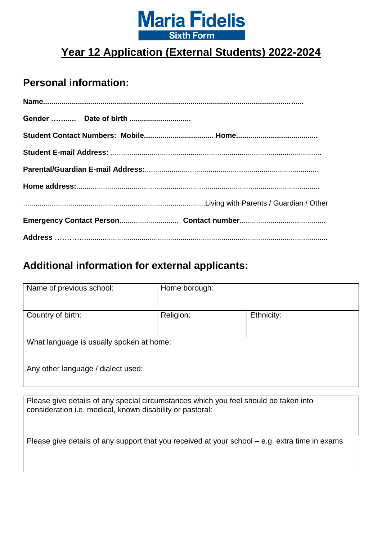

### **Personal information:**

### **Additional information for external applicants:**

| Name of previous school:                 | Home borough: |            |
|------------------------------------------|---------------|------------|
| Country of birth:                        | Religion:     | Ethnicity: |
| What language is usually spoken at home: |               |            |
| Any other language / dialect used:       |               |            |

Please give details of any special circumstances which you feel should be taken into consideration i.e. medical, known disability or pastoral:

Please give details of any support that you received at your school – e.g. extra time in exams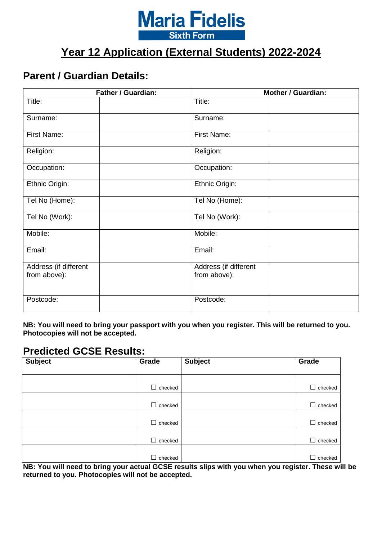

### **Parent / Guardian Details:**

|                                       | Father / Guardian: |                                       | <b>Mother / Guardian:</b> |
|---------------------------------------|--------------------|---------------------------------------|---------------------------|
| Title:                                |                    | Title:                                |                           |
| Surname:                              |                    | Surname:                              |                           |
| First Name:                           |                    | First Name:                           |                           |
| Religion:                             |                    | Religion:                             |                           |
| Occupation:                           |                    | Occupation:                           |                           |
| Ethnic Origin:                        |                    | Ethnic Origin:                        |                           |
| Tel No (Home):                        |                    | Tel No (Home):                        |                           |
| Tel No (Work):                        |                    | Tel No (Work):                        |                           |
| Mobile:                               |                    | Mobile:                               |                           |
| Email:                                |                    | Email:                                |                           |
| Address (if different<br>from above): |                    | Address (if different<br>from above): |                           |
| Postcode:                             |                    | Postcode:                             |                           |

**NB: You will need to bring your passport with you when you register. This will be returned to you. Photocopies will not be accepted.** 

#### **Predicted GCSE Results:**

| <b>Subject</b>   | Grade                                                                                       | <b>Subject</b>                                                           | Grade                                              |
|------------------|---------------------------------------------------------------------------------------------|--------------------------------------------------------------------------|----------------------------------------------------|
|                  |                                                                                             |                                                                          |                                                    |
|                  |                                                                                             |                                                                          |                                                    |
|                  | checked                                                                                     |                                                                          | □<br>checked                                       |
|                  |                                                                                             |                                                                          |                                                    |
|                  | checked                                                                                     |                                                                          | $\Box$<br>checked                                  |
|                  |                                                                                             |                                                                          |                                                    |
|                  | checked                                                                                     |                                                                          | $\Box$<br>checked                                  |
|                  |                                                                                             |                                                                          |                                                    |
|                  | checked                                                                                     |                                                                          | $\Box$<br>checked                                  |
|                  |                                                                                             |                                                                          |                                                    |
| --- --<br>.<br>. | checked<br>$\sim$ $\sim$ $\sim$ $\sim$ $\sim$<br><b>Contract Contract Contract Contract</b> | $\sim$ $\sim$ $\sim$ $\sim$ $\sim$ $\sim$ $\sim$ $\sim$<br>$\sim$ $\sim$ | $\Box$<br>checked<br>$\sim$ $\sim$<br>. .<br>$- -$ |

**NB: You will need to bring your actual GCSE results slips with you when you register. These will be returned to you. Photocopies will not be accepted.**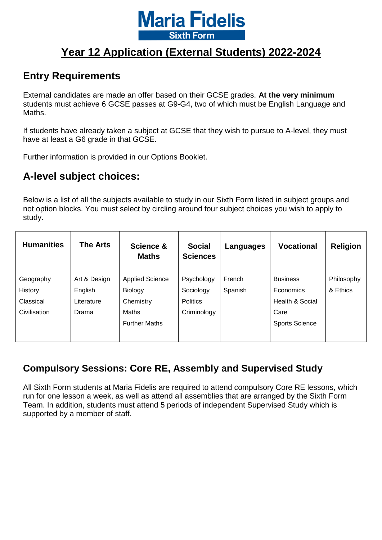

### **Entry Requirements**

External candidates are made an offer based on their GCSE grades. **At the very minimum**  students must achieve 6 GCSE passes at G9-G4, two of which must be English Language and Maths.

If students have already taken a subject at GCSE that they wish to pursue to A-level, they must have at least a G6 grade in that GCSE.

Further information is provided in our Options Booklet.

### **A-level subject choices:**

Below is a list of all the subjects available to study in our Sixth Form listed in subject groups and not option blocks. You must select by circling around four subject choices you wish to apply to study.

| <b>Humanities</b> | <b>The Arts</b> | Science &<br><b>Maths</b> | <b>Social</b><br><b>Sciences</b> | Languages | <b>Vocational</b>     | <b>Religion</b> |
|-------------------|-----------------|---------------------------|----------------------------------|-----------|-----------------------|-----------------|
|                   |                 |                           |                                  |           |                       |                 |
| Geography         | Art & Design    | <b>Applied Science</b>    | Psychology                       | French    | <b>Business</b>       | Philosophy      |
| <b>History</b>    | English         | Biology                   | Sociology                        | Spanish   | Economics             | & Ethics        |
| Classical         | Literature      | Chemistry                 | <b>Politics</b>                  |           | Health & Social       |                 |
| Civilisation      | Drama           | Maths                     | Criminology                      |           | Care                  |                 |
|                   |                 | <b>Further Maths</b>      |                                  |           | <b>Sports Science</b> |                 |
|                   |                 |                           |                                  |           |                       |                 |

### **Compulsory Sessions: Core RE, Assembly and Supervised Study**

All Sixth Form students at Maria Fidelis are required to attend compulsory Core RE lessons, which run for one lesson a week, as well as attend all assemblies that are arranged by the Sixth Form Team. In addition, students must attend 5 periods of independent Supervised Study which is supported by a member of staff.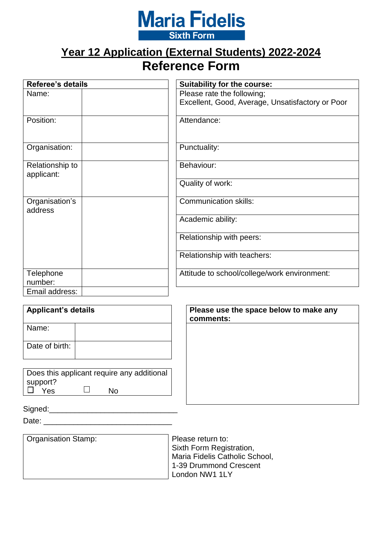

# **Year 12 Application (External Students) 2022-2024 Reference Form**

| <b>Referee's details</b>      | Suitability for the course:                      |
|-------------------------------|--------------------------------------------------|
| Name:                         | Please rate the following;                       |
|                               | Excellent, Good, Average, Unsatisfactory or Poor |
| Position:                     | Attendance:                                      |
| Organisation:                 | Punctuality:                                     |
| Relationship to<br>applicant: | Behaviour:                                       |
|                               | Quality of work:                                 |
| Organisation's<br>address     | <b>Communication skills:</b>                     |
|                               | Academic ability:                                |
|                               | Relationship with peers:                         |
|                               | Relationship with teachers:                      |
| Telephone<br>number:          | Attitude to school/college/work environment:     |
| Email address:                |                                                  |

| <b>Applicant's details</b>                                          | Please use the space below to make any<br>comments: |
|---------------------------------------------------------------------|-----------------------------------------------------|
| Name:                                                               |                                                     |
| Date of birth:                                                      |                                                     |
| Does this applicant require any additional<br>support?<br>Yes<br>No |                                                     |

| - | . | . . |  |  |
|---|---|-----|--|--|
|   |   |     |  |  |
|   |   |     |  |  |

 $Signed:$ 

Date: \_\_\_\_\_\_\_\_\_\_\_\_\_\_\_\_\_\_\_\_\_\_\_\_\_\_\_\_\_\_

| <b>Organisation Stamp:</b> |  |
|----------------------------|--|
|                            |  |
|                            |  |
|                            |  |
|                            |  |

Please return to: Sixth Form Registration, Maria Fidelis Catholic School, 1-39 Drummond Crescent London NW1 1LY